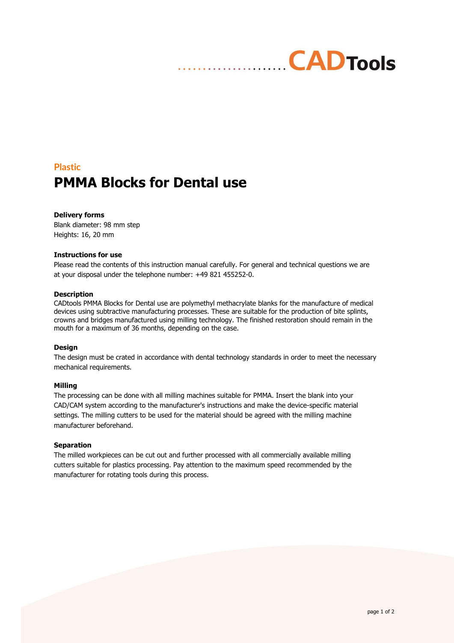## **CADTools**

### **Plastic PMMA Blocks for Dental use**

#### **Delivery forms**

Blank diameter: 98 mm step Heights: 16, 20 mm

#### **Instructions for use**

Please read the contents of this instruction manual carefully. For general and technical questions we are at your disposal under the telephone number: +49 821 455252-0.

#### **Description**

CADtools PMMA Blocks for Dental use are polymethyl methacrylate blanks for the manufacture of medical devices using subtractive manufacturing processes. These are suitable for the production of bite splints, crowns and bridges manufactured using milling technology. The finished restoration should remain in the mouth for a maximum of 36 months, depending on the case.

#### **Design**

The design must be crated in accordance with dental technology standards in order to meet the necessary mechanical requirements.

#### **Milling**

The processing can be done with all milling machines suitable for PMMA. Insert the blank into your CAD/CAM system according to the manufacturer's instructions and make the device-specific material settings. The milling cutters to be used for the material should be agreed with the milling machine manufacturer beforehand.

#### **Separation**

The milled workpieces can be cut out and further processed with all commercially available milling cutters suitable for plastics processing. Pay attention to the maximum speed recommended by the manufacturer for rotating tools during this process.